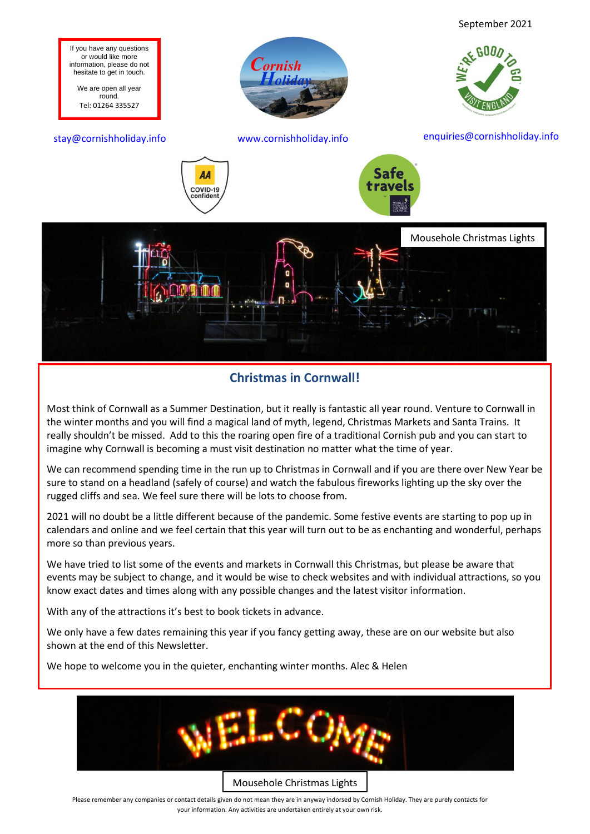

## **Christmas in Cornwall!**

Most think of Cornwall as a Summer Destination, but it really is fantastic all year round. Venture to Cornwall in the winter months and you will find a magical land of myth, legend, Christmas Markets and Santa Trains. It really shouldn't be missed. Add to this the roaring open fire of a traditional Cornish pub and you can start to imagine why Cornwall is becoming a must visit destination no matter what the time of year.

We can recommend spending time in the run up to Christmas in Cornwall and if you are there over New Year be sure to stand on a headland (safely of course) and watch the fabulous fireworks lighting up the sky over the rugged cliffs and sea. We feel sure there will be lots to choose from.

2021 will no doubt be a little different because of the pandemic. Some festive events are starting to pop up in calendars and online and we feel certain that this year will turn out to be as enchanting and wonderful, perhaps more so than previous years.

We have tried to list some of the events and markets in Cornwall this Christmas, but please be aware that events may be subject to change, and it would be wise to check websites and with individual attractions, so you know exact dates and times along with any possible changes and the latest visitor information.

With any of the attractions it's best to book tickets in advance.

We only have a few dates remaining this year if you fancy getting away, these are on our website but also shown at the end of this Newsletter.

We hope to welcome you in the quieter, enchanting winter months. Alec & Helen

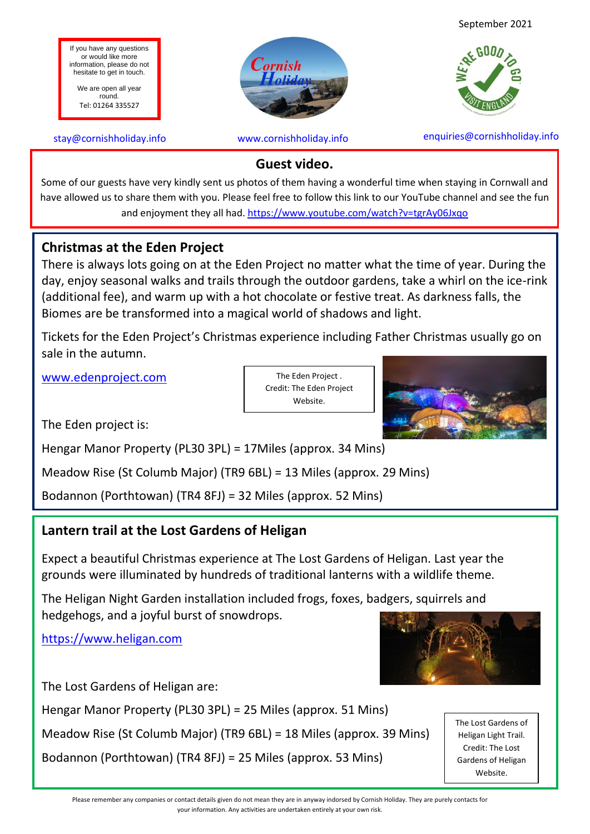September 2021



If you have any questions or would like more information, please do not hesitate to get in touch.

We are open all year round. Tel: 01264 335527

Cornish

stay@cornishholiday.info www.cornishholiday.info enquiries@cornishholiday.info

## **Guest video.**

Some of our guests have very kindly sent us photos of them having a wonderful time when staying in Cornwall and have allowed us to share them with you. Please feel free to follow this link to our YouTube channel and see the fun and enjoyment they all had.<https://www.youtube.com/watch?v=tgrAy06Jxqo>

## **Christmas at the Eden Project**

There is always lots going on at the Eden Project no matter what the time of year. During the day, enjoy seasonal walks and trails through the outdoor gardens, take a whirl on the ice-rink (additional fee), and warm up with a hot chocolate or festive treat. As darkness falls, the Biomes are be transformed into a magical world of shadows and light.

Tickets for the Eden Project's Christmas experience including Father Christmas usually go on sale in the autumn.

[www.edenproject.com](http://www.edenproject.com/)

The Eden Project . Credit: The Eden Project Website.



The Eden project is:

Hengar Manor Property (PL30 3PL) = 17Miles (approx. 34 Mins)

Meadow Rise (St Columb Major) (TR9 6BL) = 13 Miles (approx. 29 Mins)

Bodannon (Porthtowan) (TR4 8FJ) = 32 Miles (approx. 52 Mins)

## **Lantern trail at the Lost Gardens of Heligan**

Expect a beautiful Christmas experience at The Lost Gardens of Heligan. Last year the grounds were illuminated by hundreds of traditional lanterns with a wildlife theme.

The Heligan Night Garden installation included frogs, foxes, badgers, squirrels and hedgehogs, and a joyful burst of snowdrops.

[https://www.heligan.com](https://www.heligan.com/)



The Lost Gardens of Heligan are:

Hengar Manor Property (PL30 3PL) = 25 Miles (approx. 51 Mins)

Meadow Rise (St Columb Major) (TR9 6BL) = 18 Miles (approx. 39 Mins)

Bodannon (Porthtowan) (TR4 8FJ) = 25 Miles (approx. 53 Mins)

The Lost Gardens of Heligan Light Trail. Credit: The Lost Gardens of Heligan Website.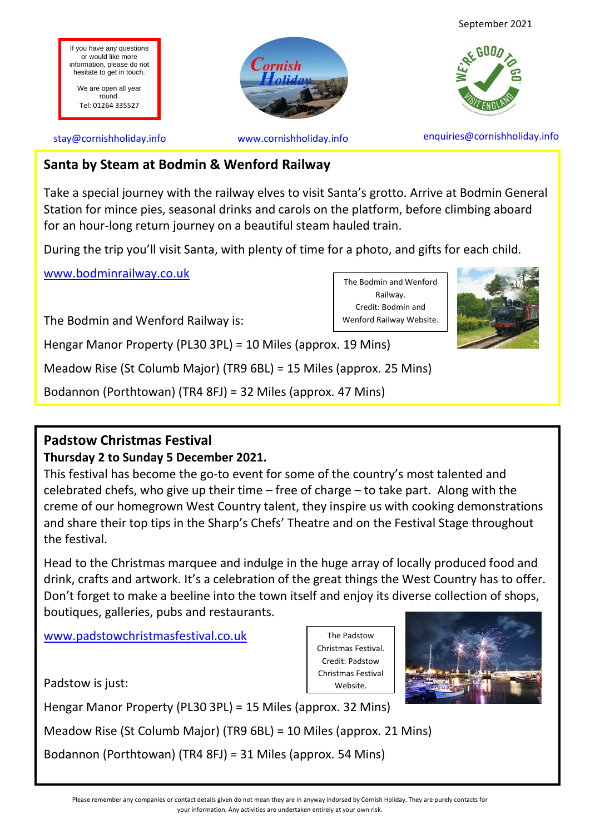

## **Santa by Steam at Bodmin & Wenford Railway**

Take a special journey with the railway elves to visit Santa's grotto. Arrive at Bodmin General Station for mince pies, seasonal drinks and carols on the platform, before climbing aboard for an hour-long return journey on a beautiful steam hauled train.

> The Bodmin and Wenford Railway. Credit: Bodmin and Wenford Railway Website.

During the trip you'll visit Santa, with plenty of time for a photo, and gifts for each child.

[www.bodminrailway.co.uk](http://www.bodminrailway.co.uk/)

The Bodmin and Wenford Railway is:

Hengar Manor Property (PL30 3PL) = 10 Miles (approx. 19 Mins)

Meadow Rise (St Columb Major) (TR9 6BL) = 15 Miles (approx. 25 Mins)

Bodannon (Porthtowan) (TR4 8FJ) = 32 Miles (approx. 47 Mins)

## **Padstow Christmas Festival**

## **Thursday 2 to Sunday 5 December 2021.**

This festival has become the go-to event for some of the country's most talented and celebrated chefs, who give up their time – free of charge – to take part. Along with the creme of our homegrown West Country talent, they inspire us with cooking demonstrations and share their top tips in the Sharp's Chefs' Theatre and on the Festival Stage throughout the festival.

Head to the Christmas marquee and indulge in the huge array of locally produced food and drink, crafts and artwork. It's a celebration of the great things the West Country has to offer. Don't forget to make a beeline into the town itself and enjoy its diverse collection of shops, boutiques, galleries, pubs and restaurants.

[www.padstowchristmasfestival.co.uk](http://www.padstowchristmasfestival.co.uk/)

Padstow is just:

The Padstow Christmas Festival. Credit: Padstow Christmas Festival Website.



Hengar Manor Property (PL30 3PL) = 15 Miles (approx. 32 Mins)

Meadow Rise (St Columb Major) (TR9 6BL) = 10 Miles (approx. 21 Mins)

Bodannon (Porthtowan) (TR4 8FJ) = 31 Miles (approx. 54 Mins)

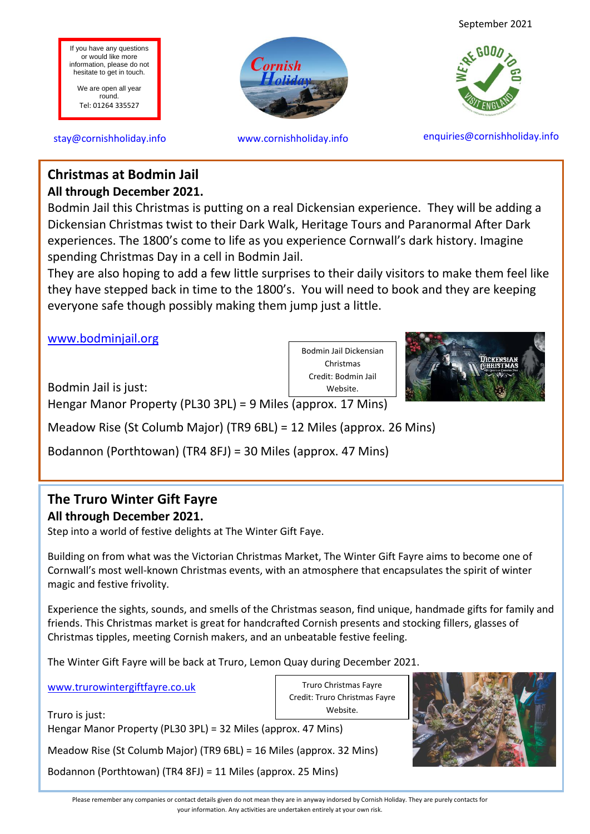September 2021



stay@cornishholiday.info www.cornishholiday.info enquiries@cornishholiday.info

## **All through December 2021. Christmas at Bodmin Jail**

If you have any questions or would like more information, please do not hesitate to get in touch. We are open all year round. Tel: 01264 335527

Bodmin Jail this Christmas is putting on a real Dickensian experience. They will be adding a Dickensian Christmas twist to their Dark Walk, Heritage Tours and Paranormal After Dark experiences. The 1800's come to life as you experience Cornwall's dark history. Imagine spending Christmas Day in a cell in Bodmin Jail.

Cornish

They are also hoping to add a few little surprises to their daily visitors to make them feel like they have stepped back in time to the 1800's. You will need to book and they are keeping everyone safe though possibly making them jump just a little.

[www.bodminjail.org](http://www.bodminjail.org/)

Bodmin Jail is just:

Hengar Manor Property (PL30 3PL) = 9 Miles (approx. 17 Mins)

Meadow Rise (St Columb Major) (TR9 6BL) = 12 Miles (approx. 26 Mins)

Bodannon (Porthtowan) (TR4 8FJ) = 30 Miles (approx. 47 Mins)

# **The Truro Winter Gift Fayre**

## **All through December 2021.**

Step into a world of festive delights at The Winter Gift Faye.

Building on from what was the Victorian Christmas Market, The Winter Gift Fayre aims to become one of Cornwall's most well-known Christmas events, with an atmosphere that encapsulates the spirit of winter magic and festive frivolity.

Experience the sights, sounds, and smells of the Christmas season, find unique, handmade gifts for family and friends. This Christmas market is great for handcrafted Cornish presents and stocking fillers, glasses of Christmas tipples, meeting Cornish makers, and an unbeatable festive feeling.

> Truro Christmas Fayre Credit: Truro Christmas Fayre Website.

The Winter Gift Fayre will be back at Truro, Lemon Quay during December 2021.

[www.trurowintergiftfayre.co.uk](http://www.trurowintergiftfayre.co.uk/)

Truro is just: Hengar Manor Property (PL30 3PL) = 32 Miles (approx. 47 Mins)

Meadow Rise (St Columb Major) (TR9 6BL) = 16 Miles (approx. 32 Mins)

Bodannon (Porthtowan) (TR4 8FJ) = 11 Miles (approx. 25 Mins)





Credit: Bodmin Jail Website.